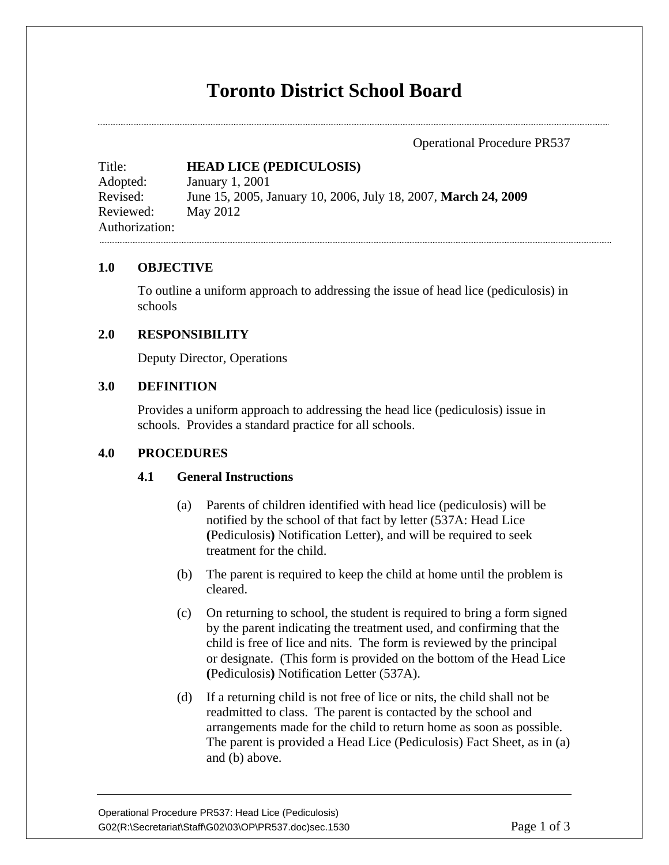# **Toronto District School Board**

Operational Procedure PR537

Title: **HEAD LICE (PEDICULOSIS)**  Adopted: January 1, 2001 Revised: June 15, 2005, January 10, 2006, July 18, 2007, **March 24, 2009**  Reviewed: May 2012 Authorization:

#### **1.0 OBJECTIVE**

To outline a uniform approach to addressing the issue of head lice (pediculosis) in schools

## **2.0 RESPONSIBILITY**

Deputy Director, Operations

## **3.0 DEFINITION**

Provides a uniform approach to addressing the head lice (pediculosis) issue in schools. Provides a standard practice for all schools.

# **4.0 PROCEDURES**

#### **4.1 General Instructions**

- (a) Parents of children identified with head lice (pediculosis) will be notified by the school of that fact by letter (537A: Head Lice **(**Pediculosis**)** Notification Letter), and will be required to seek treatment for the child.
- (b) The parent is required to keep the child at home until the problem is cleared.
- (c) On returning to school, the student is required to bring a form signed by the parent indicating the treatment used, and confirming that the child is free of lice and nits. The form is reviewed by the principal or designate. (This form is provided on the bottom of the Head Lice **(**Pediculosis**)** Notification Letter (537A).
- (d) If a returning child is not free of lice or nits, the child shall not be readmitted to class. The parent is contacted by the school and arrangements made for the child to return home as soon as possible. The parent is provided a Head Lice (Pediculosis) Fact Sheet, as in (a) and (b) above.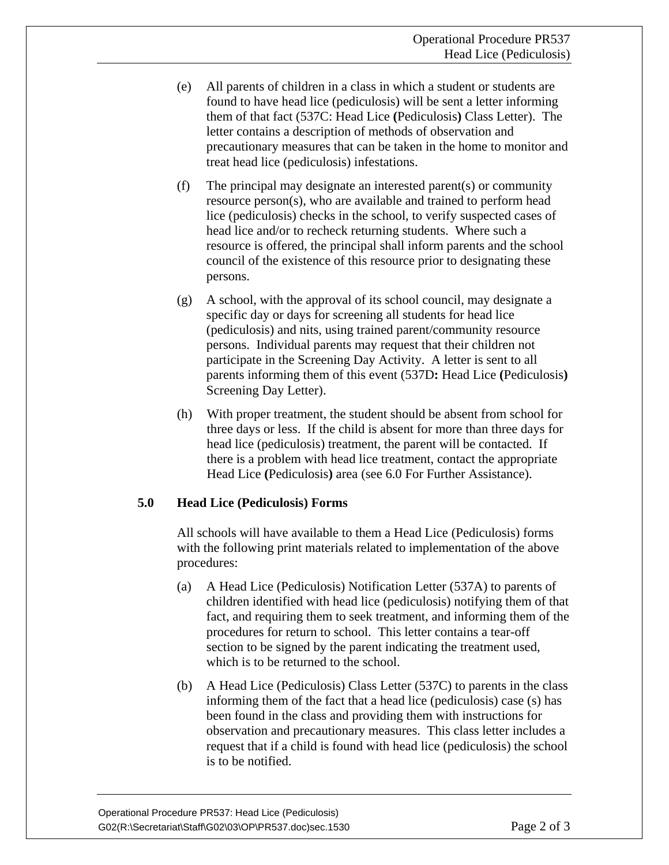- (e) All parents of children in a class in which a student or students are found to have head lice (pediculosis) will be sent a letter informing them of that fact (537C: Head Lice **(**Pediculosis**)** Class Letter). The letter contains a description of methods of observation and precautionary measures that can be taken in the home to monitor and treat head lice (pediculosis) infestations.
- (f) The principal may designate an interested parent(s) or community resource person(s), who are available and trained to perform head lice (pediculosis) checks in the school, to verify suspected cases of head lice and/or to recheck returning students. Where such a resource is offered, the principal shall inform parents and the school council of the existence of this resource prior to designating these persons.
- (g) A school, with the approval of its school council, may designate a specific day or days for screening all students for head lice (pediculosis) and nits, using trained parent/community resource persons. Individual parents may request that their children not participate in the Screening Day Activity. A letter is sent to all parents informing them of this event (537D**:** Head Lice **(**Pediculosis**)** Screening Day Letter).
- (h) With proper treatment, the student should be absent from school for three days or less. If the child is absent for more than three days for head lice (pediculosis) treatment, the parent will be contacted. If there is a problem with head lice treatment, contact the appropriate Head Lice **(**Pediculosis**)** area (see 6.0 For Further Assistance).

# **5.0 Head Lice (Pediculosis) Forms**

All schools will have available to them a Head Lice (Pediculosis) forms with the following print materials related to implementation of the above procedures:

- (a) A Head Lice (Pediculosis) Notification Letter (537A) to parents of children identified with head lice (pediculosis) notifying them of that fact, and requiring them to seek treatment, and informing them of the procedures for return to school. This letter contains a tear-off section to be signed by the parent indicating the treatment used, which is to be returned to the school.
- (b) A Head Lice (Pediculosis) Class Letter (537C) to parents in the class informing them of the fact that a head lice (pediculosis) case (s) has been found in the class and providing them with instructions for observation and precautionary measures. This class letter includes a request that if a child is found with head lice (pediculosis) the school is to be notified.